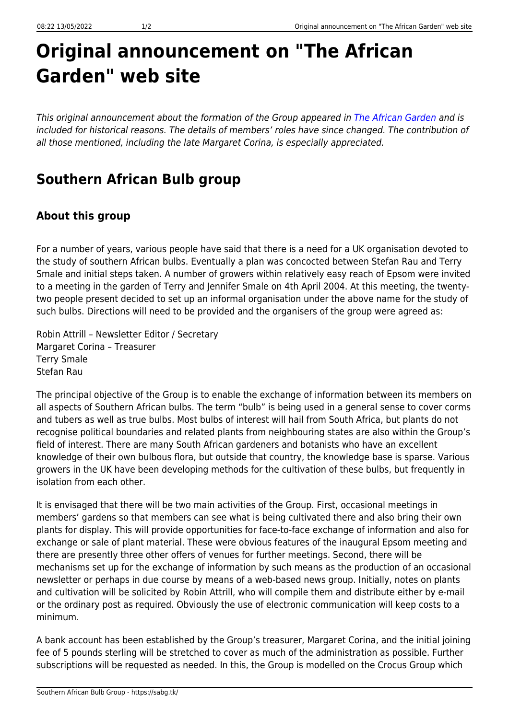## **Original announcement on "The African Garden" web site**

This original announcement about the formation of the Group appeared in [The African Garden](http://www.theafricangarden.com) and is included for historical reasons. The details of members' roles have since changed. The contribution of all those mentioned, including the late Margaret Corina, is especially appreciated.

## **Southern African Bulb group**

## **About this group**

For a number of years, various people have said that there is a need for a UK organisation devoted to the study of southern African bulbs. Eventually a plan was concocted between Stefan Rau and Terry Smale and initial steps taken. A number of growers within relatively easy reach of Epsom were invited to a meeting in the garden of Terry and Jennifer Smale on 4th April 2004. At this meeting, the twentytwo people present decided to set up an informal organisation under the above name for the study of such bulbs. Directions will need to be provided and the organisers of the group were agreed as:

Robin Attrill – Newsletter Editor / Secretary Margaret Corina – Treasurer Terry Smale Stefan Rau

The principal objective of the Group is to enable the exchange of information between its members on all aspects of Southern African bulbs. The term "bulb" is being used in a general sense to cover corms and tubers as well as true bulbs. Most bulbs of interest will hail from South Africa, but plants do not recognise political boundaries and related plants from neighbouring states are also within the Group's field of interest. There are many South African gardeners and botanists who have an excellent knowledge of their own bulbous flora, but outside that country, the knowledge base is sparse. Various growers in the UK have been developing methods for the cultivation of these bulbs, but frequently in isolation from each other.

It is envisaged that there will be two main activities of the Group. First, occasional meetings in members' gardens so that members can see what is being cultivated there and also bring their own plants for display. This will provide opportunities for face-to-face exchange of information and also for exchange or sale of plant material. These were obvious features of the inaugural Epsom meeting and there are presently three other offers of venues for further meetings. Second, there will be mechanisms set up for the exchange of information by such means as the production of an occasional newsletter or perhaps in due course by means of a web-based news group. Initially, notes on plants and cultivation will be solicited by Robin Attrill, who will compile them and distribute either by e-mail or the ordinary post as required. Obviously the use of electronic communication will keep costs to a minimum.

A bank account has been established by the Group's treasurer, Margaret Corina, and the initial joining fee of 5 pounds sterling will be stretched to cover as much of the administration as possible. Further subscriptions will be requested as needed. In this, the Group is modelled on the Crocus Group which